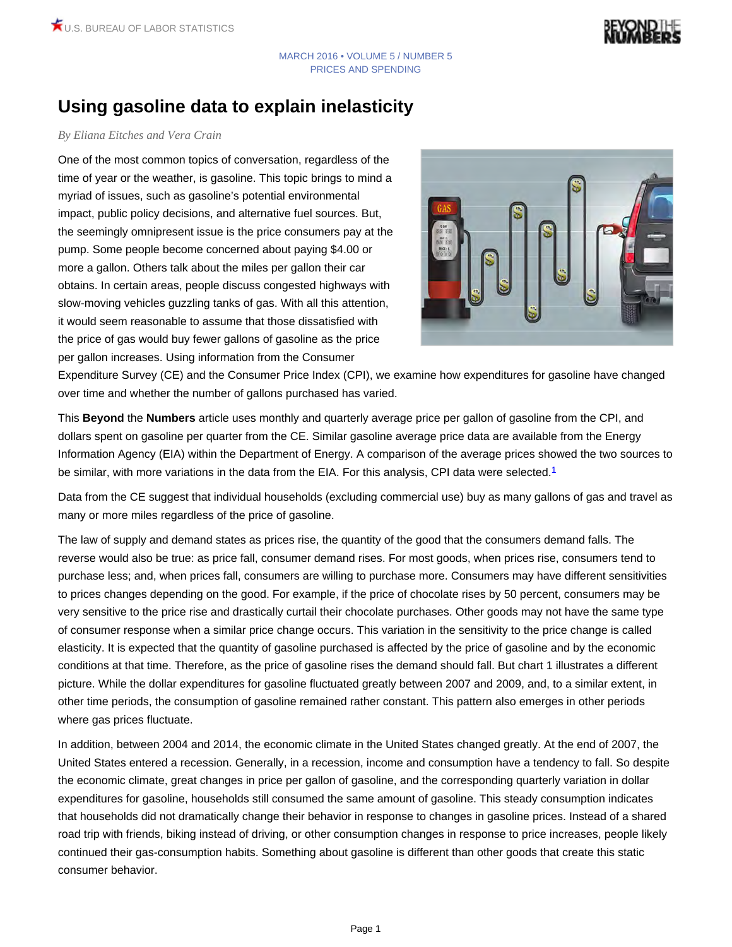# **Using gasoline data to explain inelasticity**

### *By Eliana Eitches and Vera Crain*

One of the most common topics of conversation, regardless of the time of year or the weather, is gasoline. This topic brings to mind a myriad of issues, such as gasoline's potential environmental impact, public policy decisions, and alternative fuel sources. But, the seemingly omnipresent issue is the price consumers pay at the pump. Some people become concerned about paying \$4.00 or more a gallon. Others talk about the miles per gallon their car obtains. In certain areas, people discuss congested highways with slow-moving vehicles guzzling tanks of gas. With all this attention, it would seem reasonable to assume that those dissatisfied with the price of gas would buy fewer gallons of gasoline as the price per gallon increases. Using information from the Consumer

<span id="page-0-0"></span>

Expenditure Survey (CE) and the Consumer Price Index (CPI), we examine how expenditures for gasoline have changed over time and whether the number of gallons purchased has varied.

This **Beyond** the **Numbers** article uses monthly and quarterly average price per gallon of gasoline from the CPI, and dollars spent on gasoline per quarter from the CE. Similar gasoline average price data are available from the Energy Information Agency (EIA) within the Department of Energy. A comparison of the average prices showed the two sources to be similar, with more variations in the data from the EIA. For this analysis, CPI data were selected.<sup>[1](#page-3-0)</sup>

Data from the CE suggest that individual households (excluding commercial use) buy as many gallons of gas and travel as many or more miles regardless of the price of gasoline.

The law of supply and demand states as prices rise, the quantity of the good that the consumers demand falls. The reverse would also be true: as price fall, consumer demand rises. For most goods, when prices rise, consumers tend to purchase less; and, when prices fall, consumers are willing to purchase more. Consumers may have different sensitivities to prices changes depending on the good. For example, if the price of chocolate rises by 50 percent, consumers may be very sensitive to the price rise and drastically curtail their chocolate purchases. Other goods may not have the same type of consumer response when a similar price change occurs. This variation in the sensitivity to the price change is called elasticity. It is expected that the quantity of gasoline purchased is affected by the price of gasoline and by the economic conditions at that time. Therefore, as the price of gasoline rises the demand should fall. But chart 1 illustrates a different picture. While the dollar expenditures for gasoline fluctuated greatly between 2007 and 2009, and, to a similar extent, in other time periods, the consumption of gasoline remained rather constant. This pattern also emerges in other periods where gas prices fluctuate.

In addition, between 2004 and 2014, the economic climate in the United States changed greatly. At the end of 2007, the United States entered a recession. Generally, in a recession, income and consumption have a tendency to fall. So despite the economic climate, great changes in price per gallon of gasoline, and the corresponding quarterly variation in dollar expenditures for gasoline, households still consumed the same amount of gasoline. This steady consumption indicates that households did not dramatically change their behavior in response to changes in gasoline prices. Instead of a shared road trip with friends, biking instead of driving, or other consumption changes in response to price increases, people likely continued their gas-consumption habits. Something about gasoline is different than other goods that create this static consumer behavior.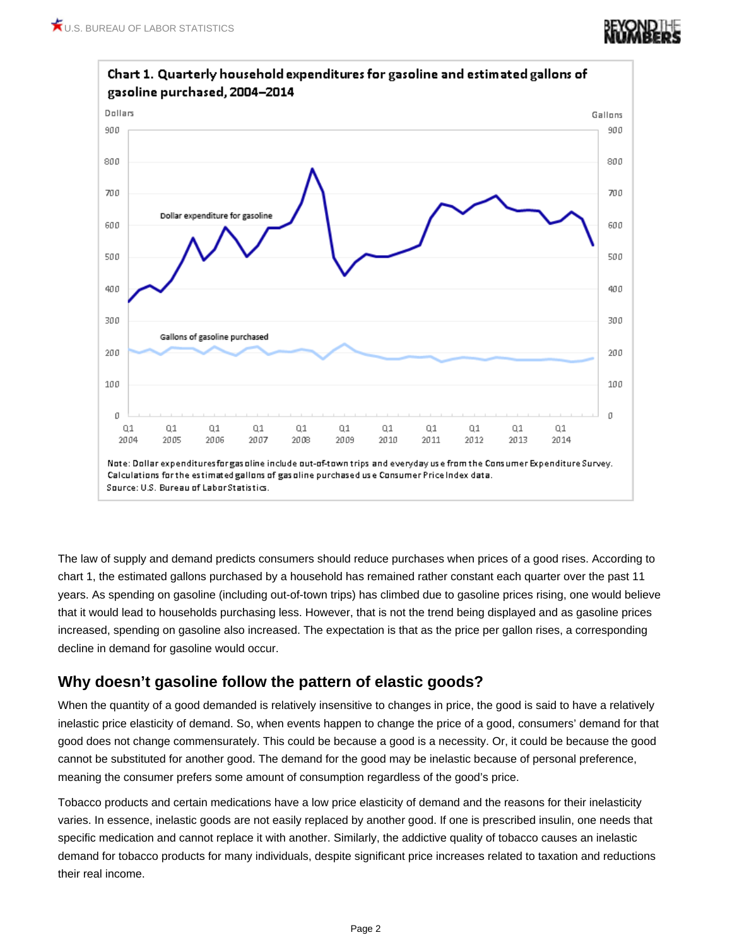

The law of supply and demand predicts consumers should reduce purchases when prices of a good rises. According to chart 1, the estimated gallons purchased by a household has remained rather constant each quarter over the past 11 years. As spending on gasoline (including out-of-town trips) has climbed due to gasoline prices rising, one would believe that it would lead to households purchasing less. However, that is not the trend being displayed and as gasoline prices increased, spending on gasoline also increased. The expectation is that as the price per gallon rises, a corresponding decline in demand for gasoline would occur.

## **Why doesn't gasoline follow the pattern of elastic goods?**

When the quantity of a good demanded is relatively insensitive to changes in price, the good is said to have a relatively inelastic price elasticity of demand. So, when events happen to change the price of a good, consumers' demand for that good does not change commensurately. This could be because a good is a necessity. Or, it could be because the good cannot be substituted for another good. The demand for the good may be inelastic because of personal preference, meaning the consumer prefers some amount of consumption regardless of the good's price.

Tobacco products and certain medications have a low price elasticity of demand and the reasons for their inelasticity varies. In essence, inelastic goods are not easily replaced by another good. If one is prescribed insulin, one needs that specific medication and cannot replace it with another. Similarly, the addictive quality of tobacco causes an inelastic demand for tobacco products for many individuals, despite significant price increases related to taxation and reductions their real income.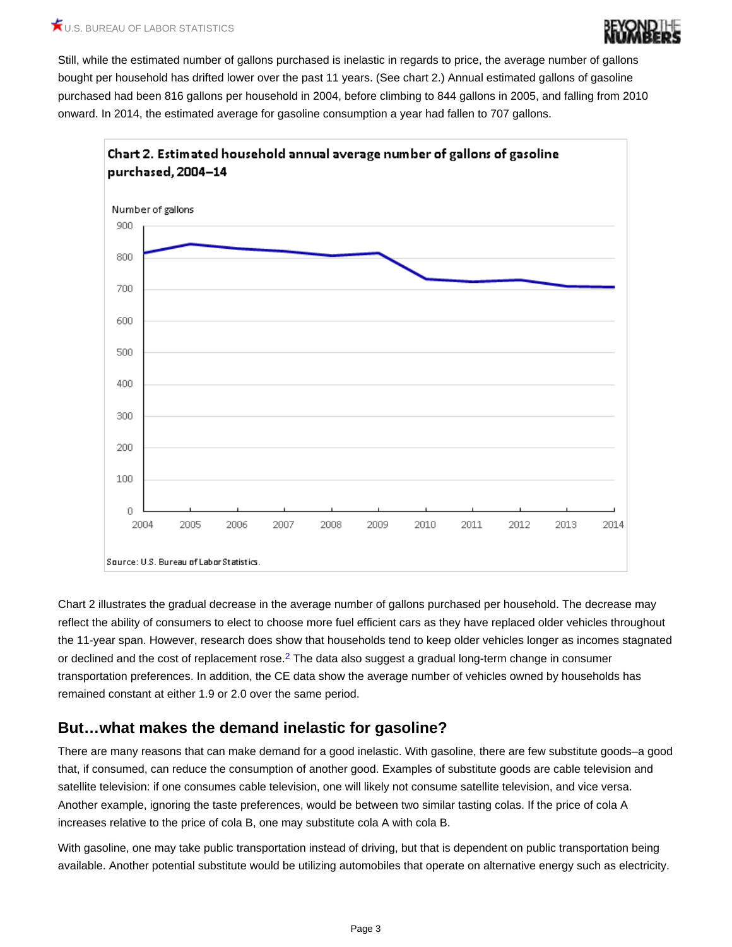

### U.S. BUREAU OF LABOR STATISTICS

Still, while the estimated number of gallons purchased is inelastic in regards to price, the average number of gallons bought per household has drifted lower over the past 11 years. (See chart 2.) Annual estimated gallons of gasoline purchased had been 816 gallons per household in 2004, before climbing to 844 gallons in 2005, and falling from 2010 onward. In 2014, the estimated average for gasoline consumption a year had fallen to 707 gallons.



<span id="page-2-0"></span>Chart 2 illustrates the gradual decrease in the average number of gallons purchased per household. The decrease may reflect the ability of consumers to elect to choose more fuel efficient cars as they have replaced older vehicles throughout the 11-year span. However, research does show that households tend to keep older vehicles longer as incomes stagnated or declined and the cost of replacement rose.<sup>[2](#page-3-1)</sup> The data also suggest a gradual long-term change in consumer transportation preferences. In addition, the CE data show the average number of vehicles owned by households has remained constant at either 1.9 or 2.0 over the same period.

### **But…what makes the demand inelastic for gasoline?**

There are many reasons that can make demand for a good inelastic. With gasoline, there are few substitute goods–a good that, if consumed, can reduce the consumption of another good. Examples of substitute goods are cable television and satellite television: if one consumes cable television, one will likely not consume satellite television, and vice versa. Another example, ignoring the taste preferences, would be between two similar tasting colas. If the price of cola A increases relative to the price of cola B, one may substitute cola A with cola B.

With gasoline, one may take public transportation instead of driving, but that is dependent on public transportation being available. Another potential substitute would be utilizing automobiles that operate on alternative energy such as electricity.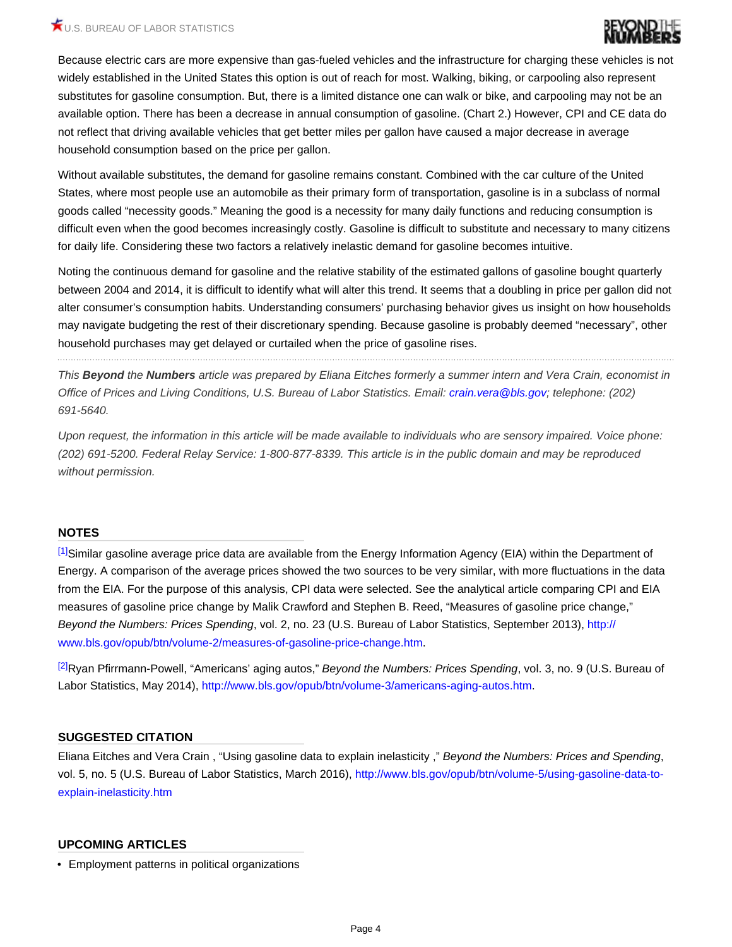### $\bigstar_{\text{U.S. BUREAU OF LABOR STATISTICS}}$



Because electric cars are more expensive than gas-fueled vehicles and the infrastructure for charging these vehicles is not widely established in the United States this option is out of reach for most. Walking, biking, or carpooling also represent substitutes for gasoline consumption. But, there is a limited distance one can walk or bike, and carpooling may not be an available option. There has been a decrease in annual consumption of gasoline. (Chart 2.) However, CPI and CE data do not reflect that driving available vehicles that get better miles per gallon have caused a major decrease in average household consumption based on the price per gallon.

Without available substitutes, the demand for gasoline remains constant. Combined with the car culture of the United States, where most people use an automobile as their primary form of transportation, gasoline is in a subclass of normal goods called "necessity goods." Meaning the good is a necessity for many daily functions and reducing consumption is difficult even when the good becomes increasingly costly. Gasoline is difficult to substitute and necessary to many citizens for daily life. Considering these two factors a relatively inelastic demand for gasoline becomes intuitive.

Noting the continuous demand for gasoline and the relative stability of the estimated gallons of gasoline bought quarterly between 2004 and 2014, it is difficult to identify what will alter this trend. It seems that a doubling in price per gallon did not alter consumer's consumption habits. Understanding consumers' purchasing behavior gives us insight on how households may navigate budgeting the rest of their discretionary spending. Because gasoline is probably deemed "necessary", other household purchases may get delayed or curtailed when the price of gasoline rises.

*This Beyond the Numbers article was prepared by Eliana Eitches formerly a summer intern and Vera Crain, economist in Office of Prices and Living Conditions, U.S. Bureau of Labor Statistics. Email: [crain.vera@bls.gov](mailto:crain.vera@bls.gov); telephone: (202) 691-5640.*

*Upon request, the information in this article will be made available to individuals who are sensory impaired. Voice phone: (202) 691-5200. Federal Relay Service: 1-800-877-8339. This article is in the public domain and may be reproduced without permission.*

#### **NOTES**

<span id="page-3-0"></span>[\[1\]](#page-0-0)Similar gasoline average price data are available from the Energy Information Agency (EIA) within the Department of Energy. A comparison of the average prices showed the two sources to be very similar, with more fluctuations in the data from the EIA. For the purpose of this analysis, CPI data were selected. See the analytical article comparing CPI and EIA measures of gasoline price change by Malik Crawford and Stephen B. Reed, "Measures of gasoline price change," *Beyond the Numbers: Prices Spending*, vol. 2, no. 23 (U.S. Bureau of Labor Statistics, September 2013), [http://](http://www.bls.gov/opub/btn/volume-2/measures-of-gasoline-price-change.htm) [www.bls.gov/opub/btn/volume-2/measures-of-gasoline-price-change.htm.](http://www.bls.gov/opub/btn/volume-2/measures-of-gasoline-price-change.htm)

<span id="page-3-1"></span>[\[2\]](#page-2-0)Ryan Pfirrmann-Powell, "Americans' aging autos," *Beyond the Numbers: Prices Spending*, vol. 3, no. 9 (U.S. Bureau of Labor Statistics, May 2014), [http://www.bls.gov/opub/btn/volume-3/americans-aging-autos.htm](http://www.bls.gov/opub/btn/volume-2/measures-of-gasoline-price-change.htm).

#### **SUGGESTED CITATION**

Eliana Eitches and Vera Crain, "Using gasoline data to explain inelasticity," Beyond the Numbers: Prices and Spending,<br>vol. 5, no. 5 (U.S. Bureau of Labor Statistics, March 2016), http://www.bls.gov/opub/btn/volume-5/using [explain-inelasticity.htm](http://www.bls.gov/opub/btn/volume-5/using-gasoline-data-to-explain-inelasticity.htm)

#### **UPCOMING ARTICLES**

• Employment patterns in political organizations